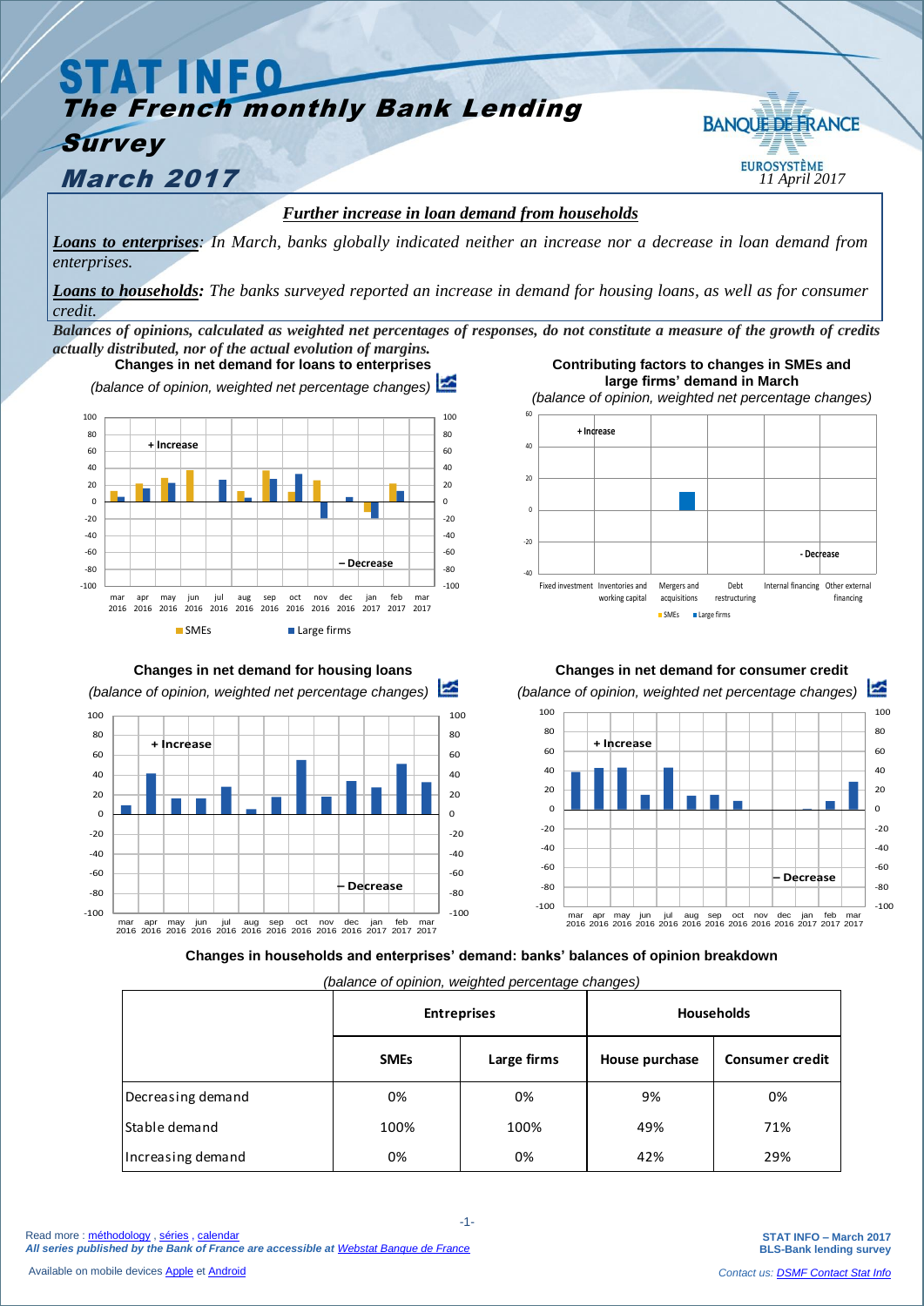## **STAT INFO** The French monthly Bank Lending **BANOUE DE FRANCE Survey March 2017 11** *April* 2017 *Further increase in loan demand from households*

*Loans to enterprises: In March, banks globally indicated neither an increase nor a decrease in loan demand from enterprises.*

*Loans to households: The banks surveyed reported an increase in demand for housing loans, as well as for consumer credit.*

*Balances of opinions, calculated as weighted net percentages of responses, do not constitute a measure of the growth of credits actually distributed, nor of the actual evolution of margins.* **Contributing factors to changes in SMEs and** 



**Changes in net demand for housing loans**  *(balance of opinion, weighted net percentage changes)*  $-100$ -80 -60  $-40$  $-20$  $\overline{0}$  $20$ 40 60 80 100  $-100$ -80 -60 -40  $-20$  $\Omega$  $20$ 40 60 80 100 mar 2016 apr 2016 may 2016 jun 2016 jul 2016 aug 2016 sep 2016 oct 2016 nov 2016 dec 2016 jan 2017 feb 2017 mar 2017 **– Decrease + Increase**

**large firms' demand in March** *(balance of opinion, weighted net percentage changes)* -40 -20 0  $20$ 40 60 Fixed investment Inventories and working capital Mergers and acquisitions Debt restructuring Internal financing Other external financing ■ SMEs **■ Large firms + Increase - Decrease**



**Changes in households and enterprises' demand: banks' balances of opinion breakdown**

*(balance of opinion, weighted percentage changes)*

|                      | - -<br><b>Entreprises</b> |             | $\sim$ $\sim$ $\sim$ $\sim$ $\sim$<br><b>Households</b> |                        |
|----------------------|---------------------------|-------------|---------------------------------------------------------|------------------------|
|                      | <b>SMEs</b>               | Large firms | House purchase                                          | <b>Consumer credit</b> |
| Decreasing demand    | 0%                        | 0%          | 9%                                                      | 0%                     |
| <b>Stable demand</b> | 100%                      | 100%        | 49%                                                     | 71%                    |
| Increasing demand    | 0%                        | 0%          | 42%                                                     | 29%                    |

**STAT INFO – March 2017 BLS-Bank lending survey**